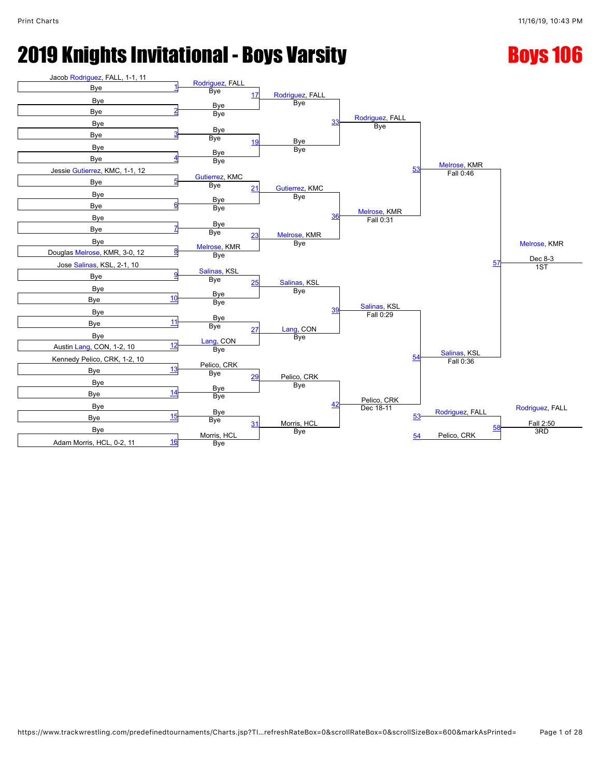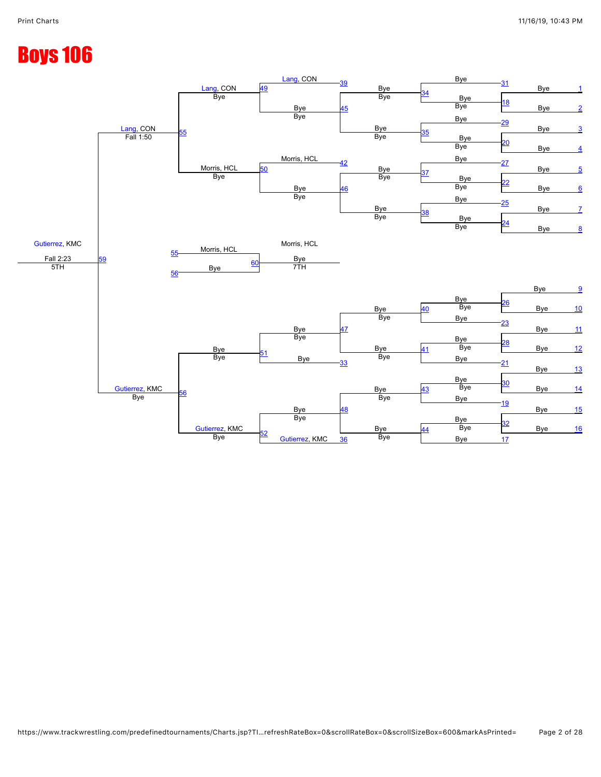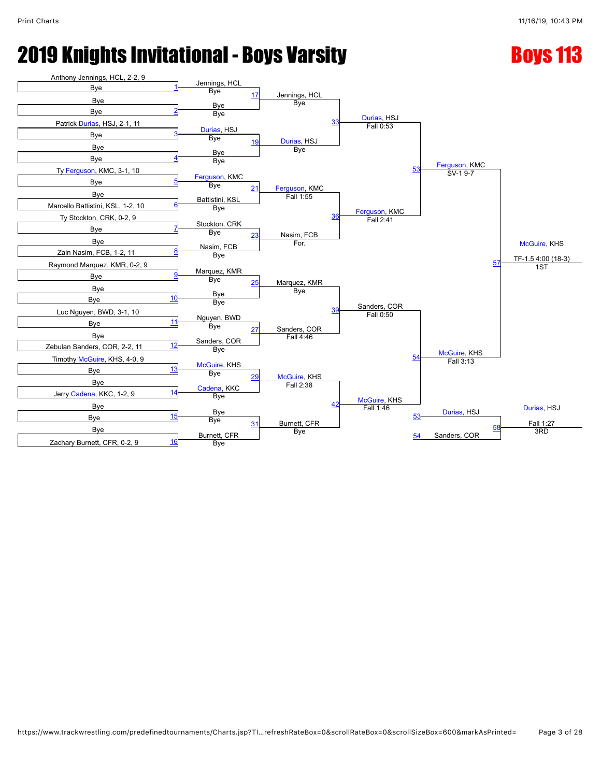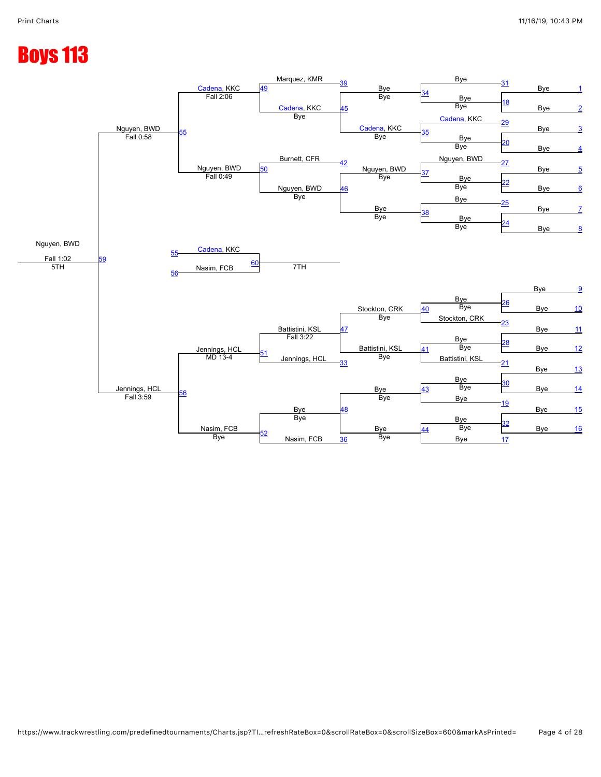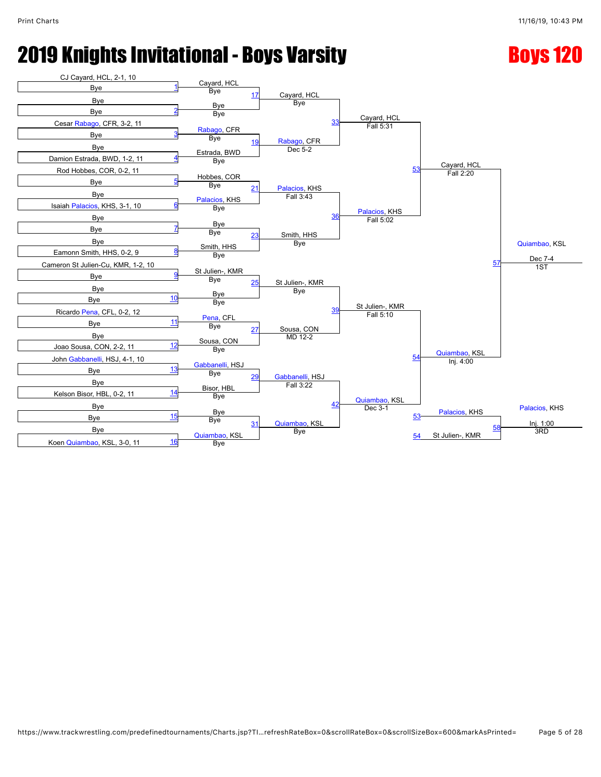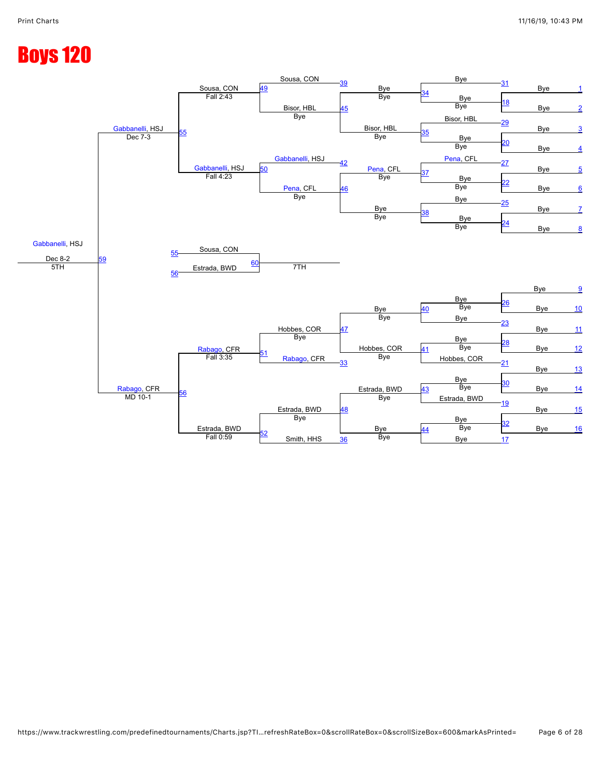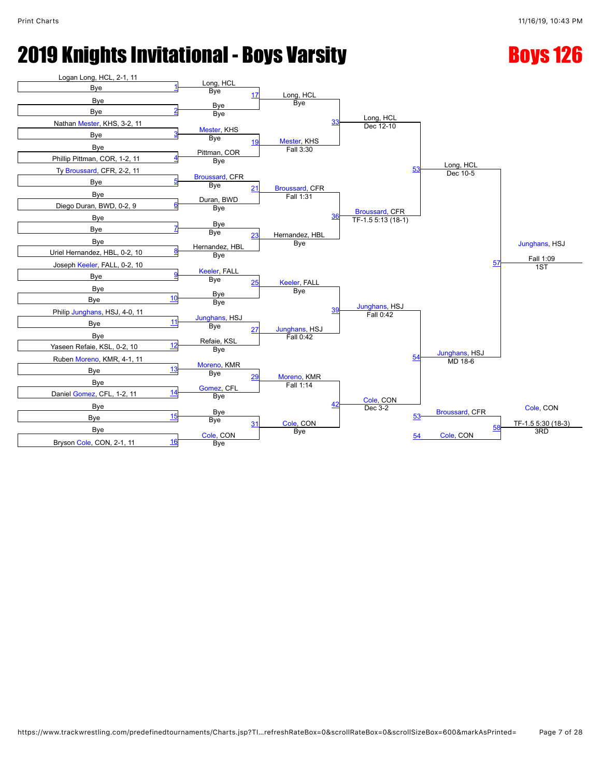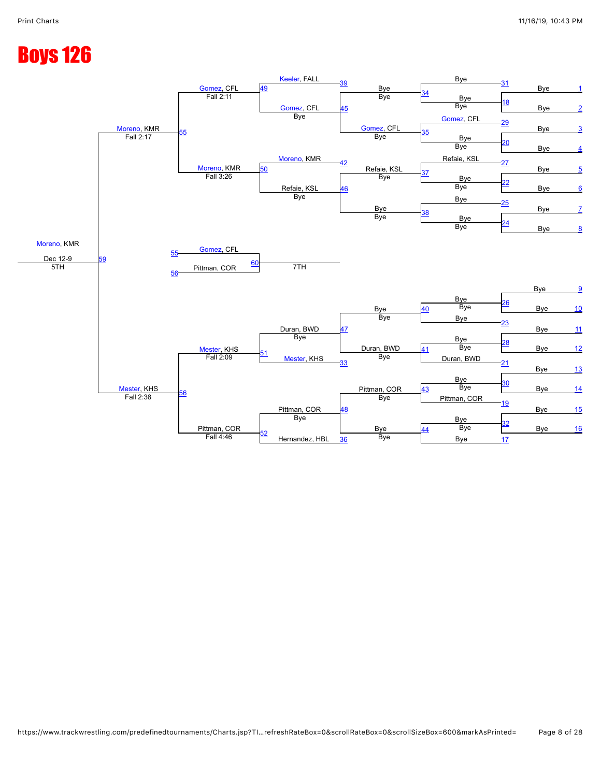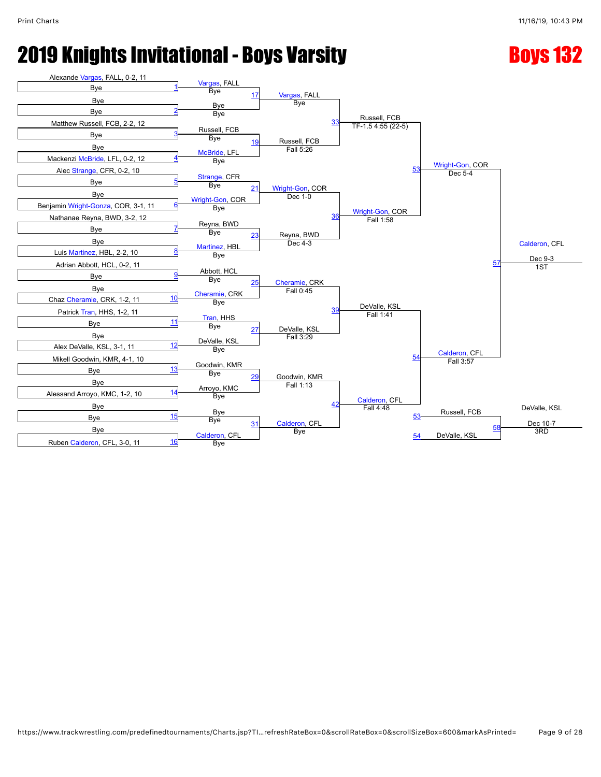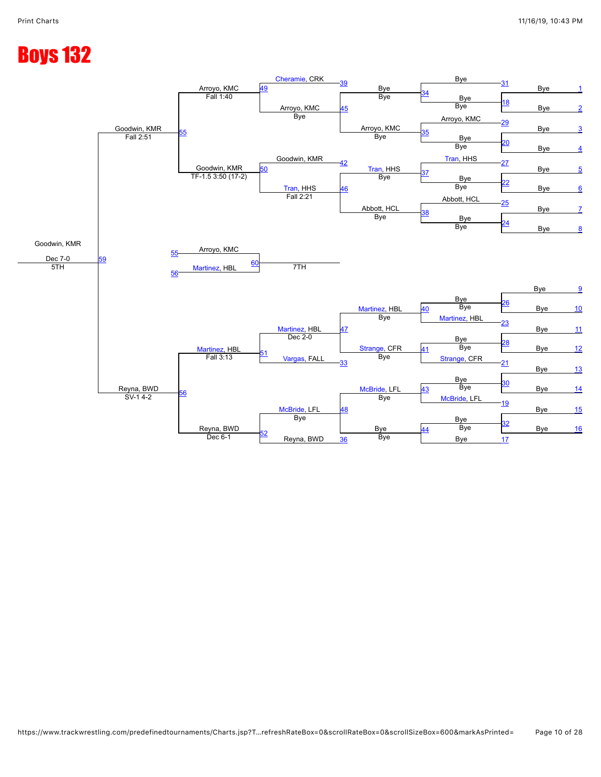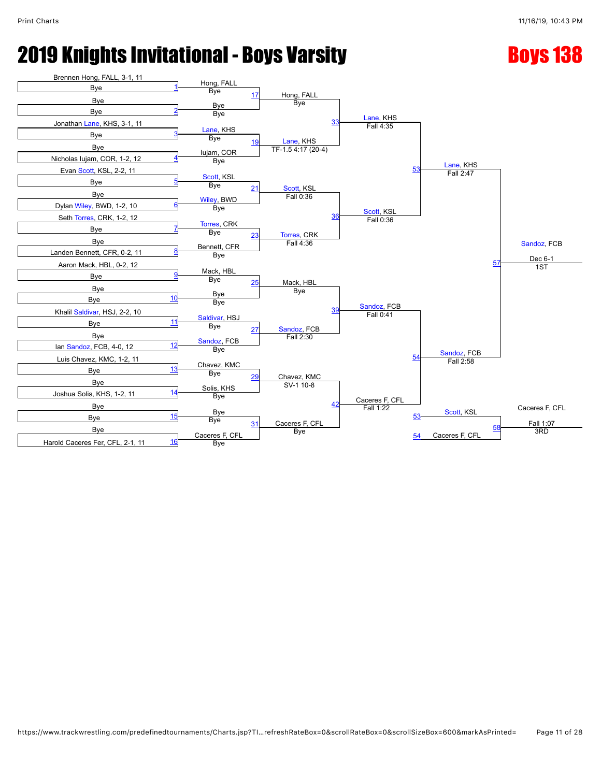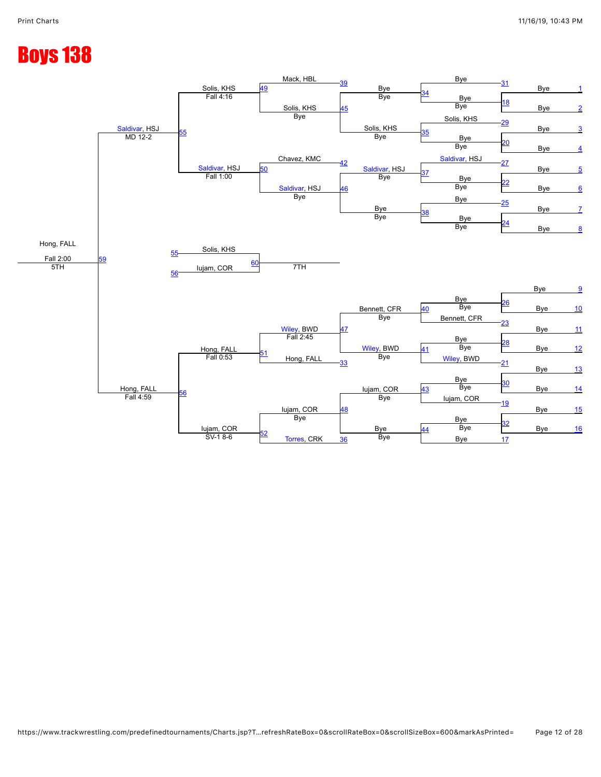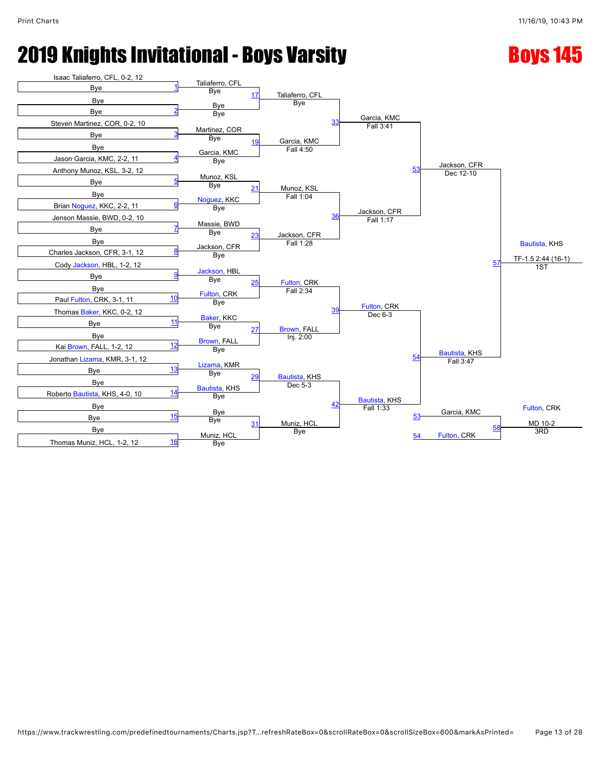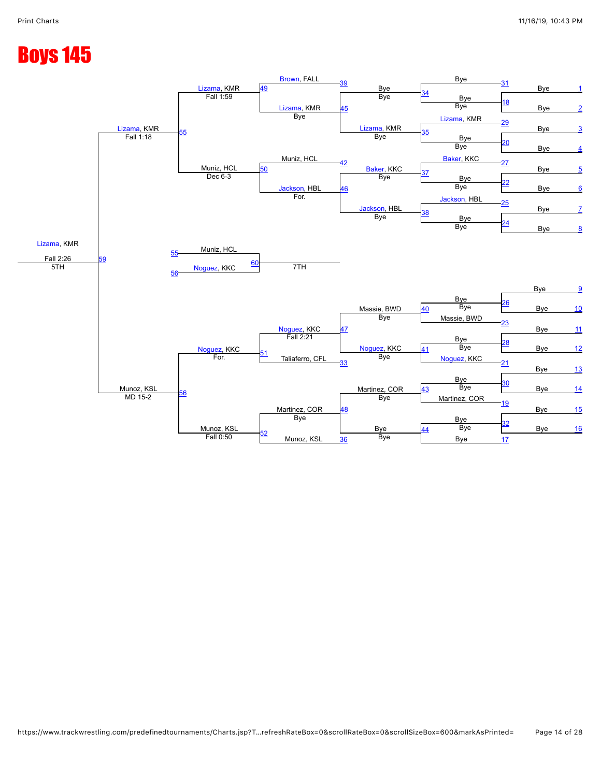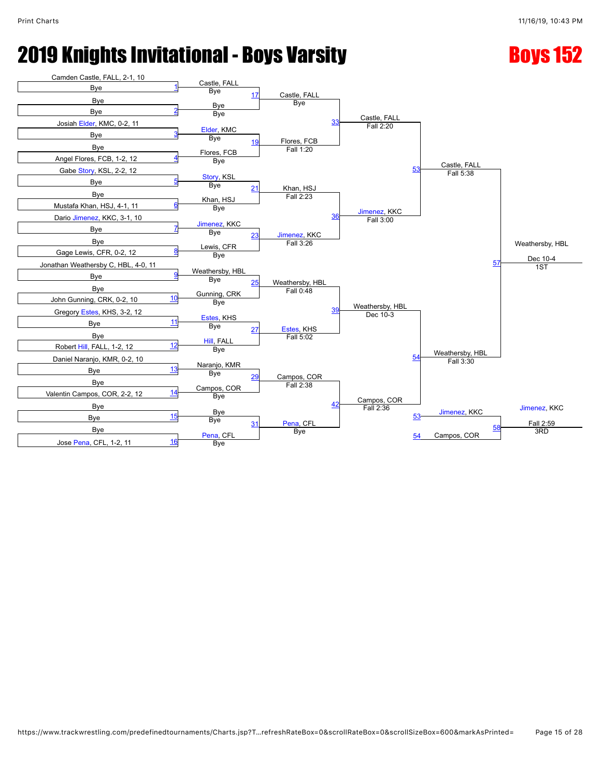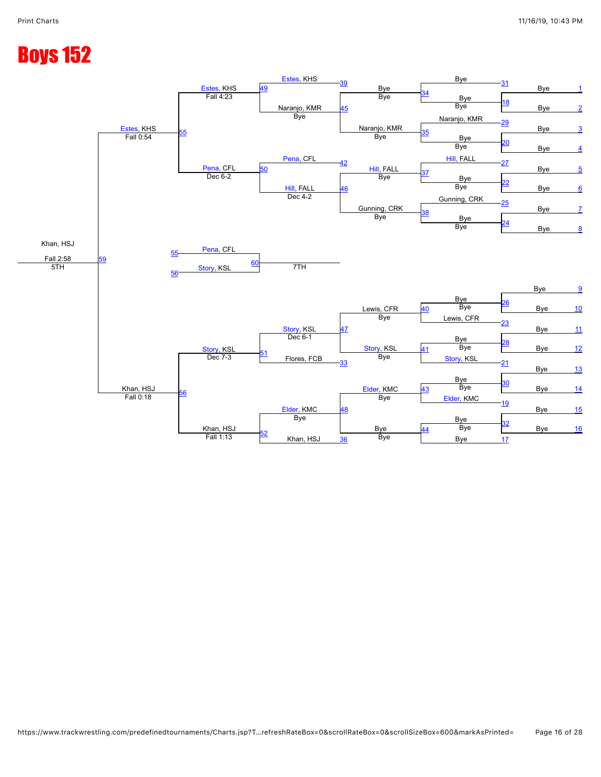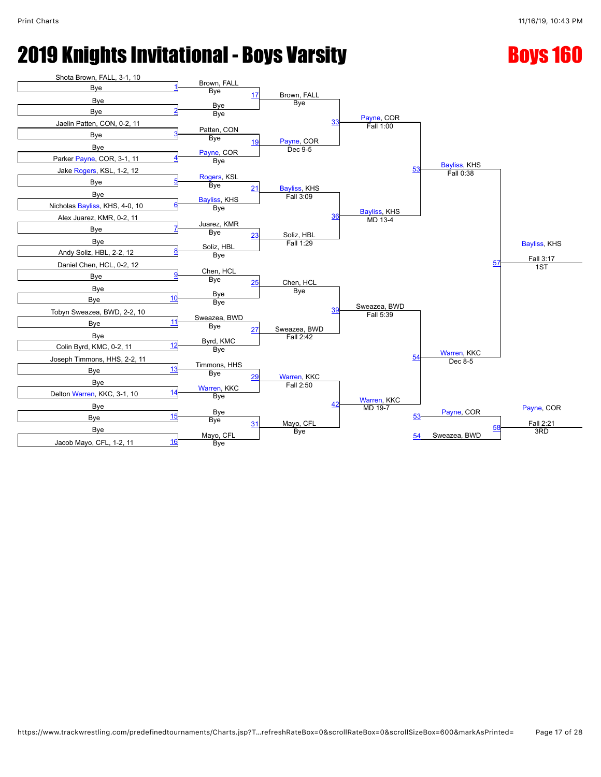### **2019 Knights Invitational - Boys Varsity Roys 160 Boys 160**

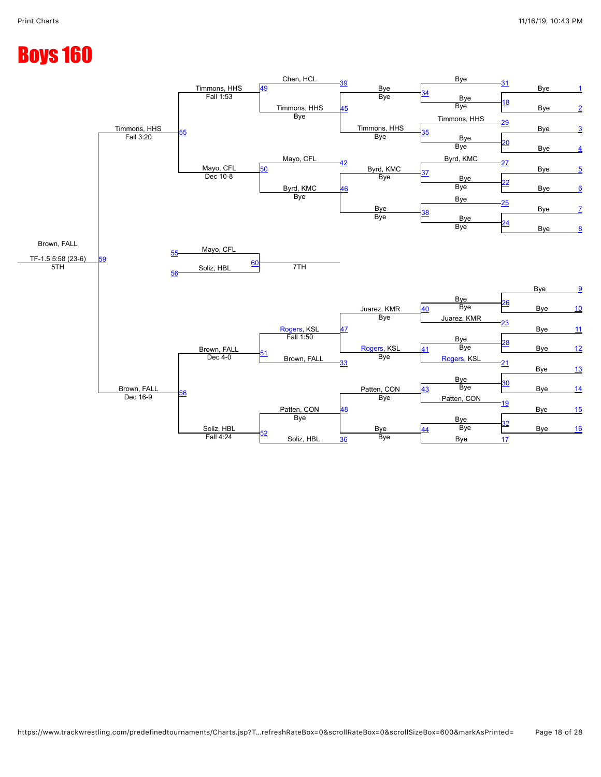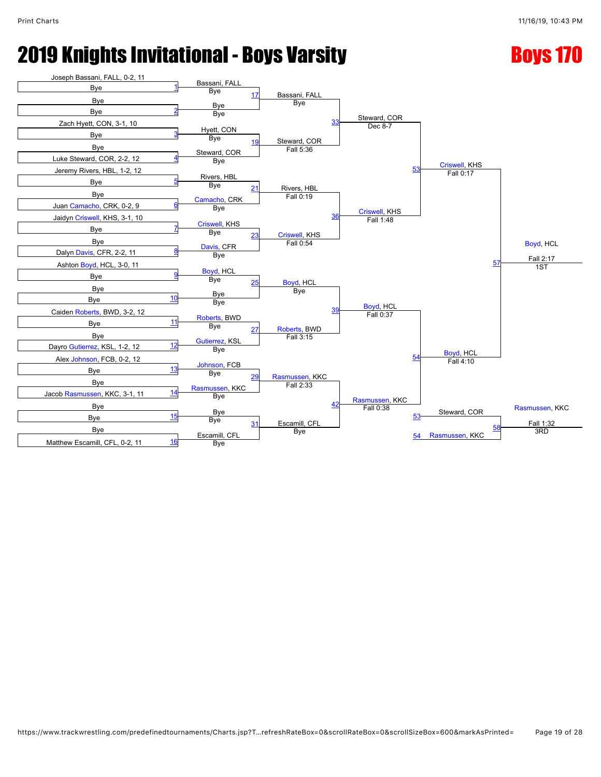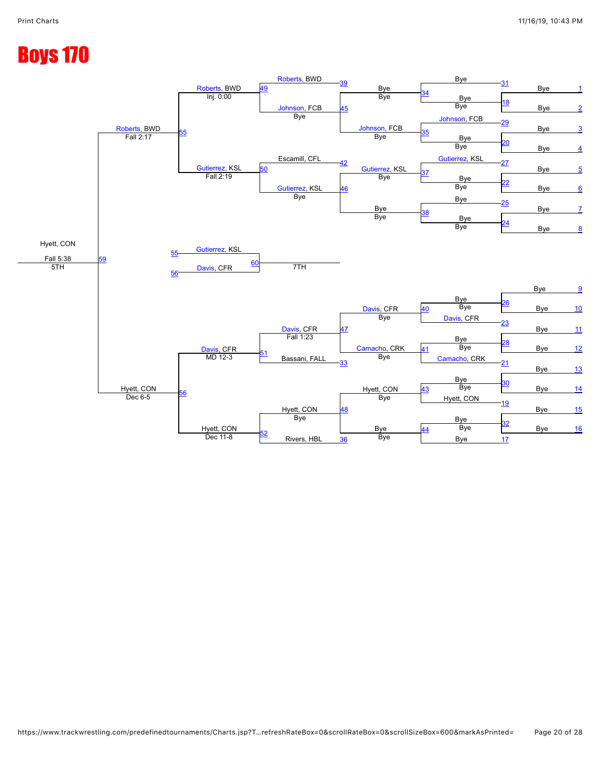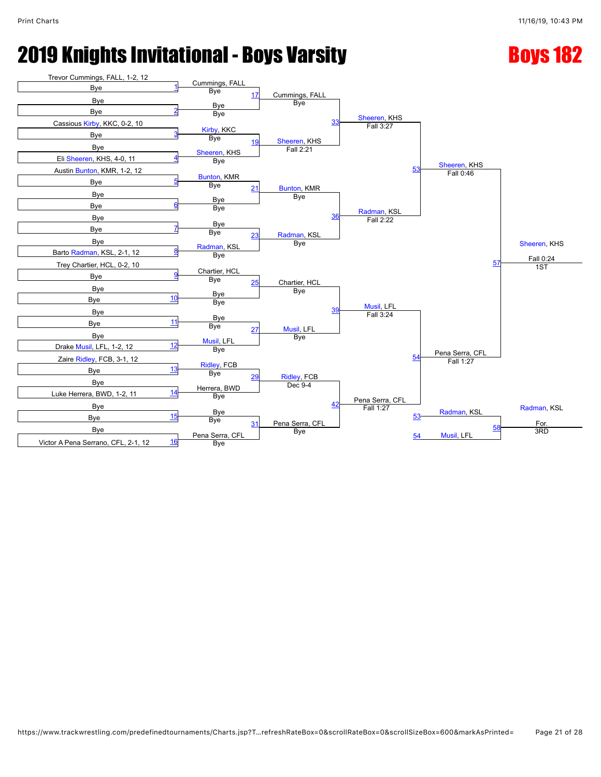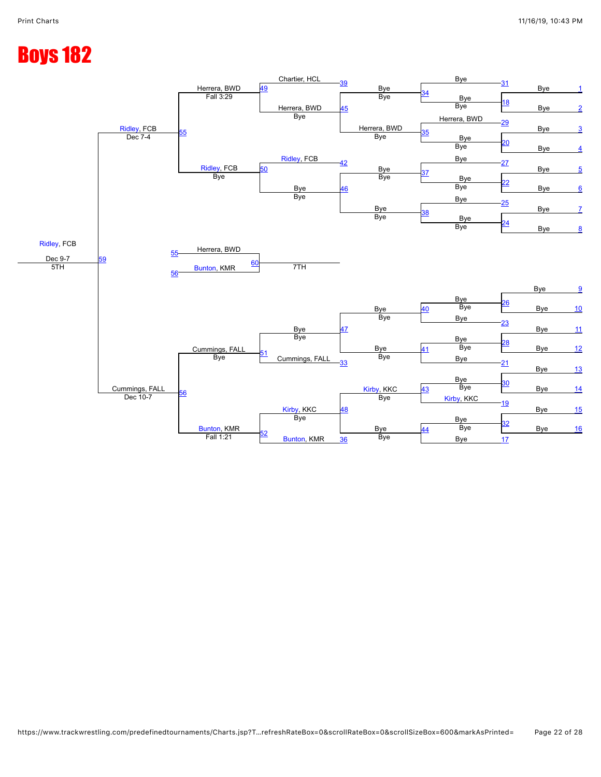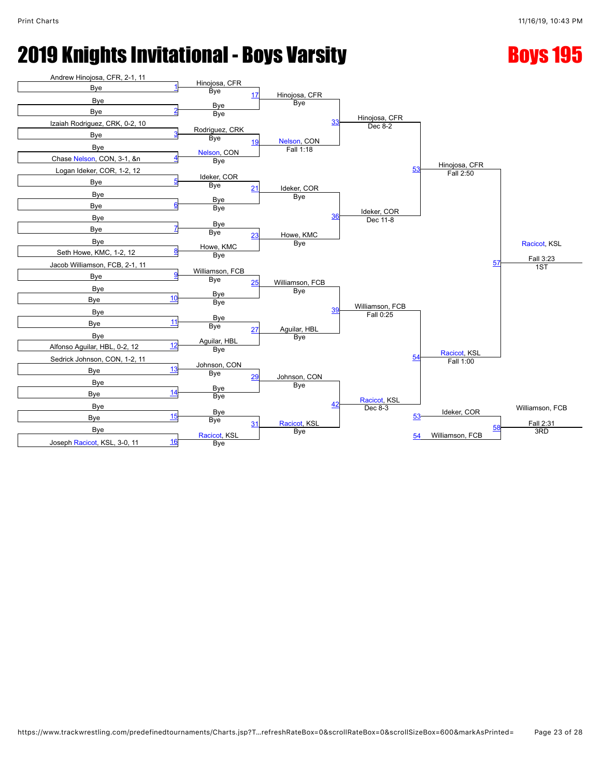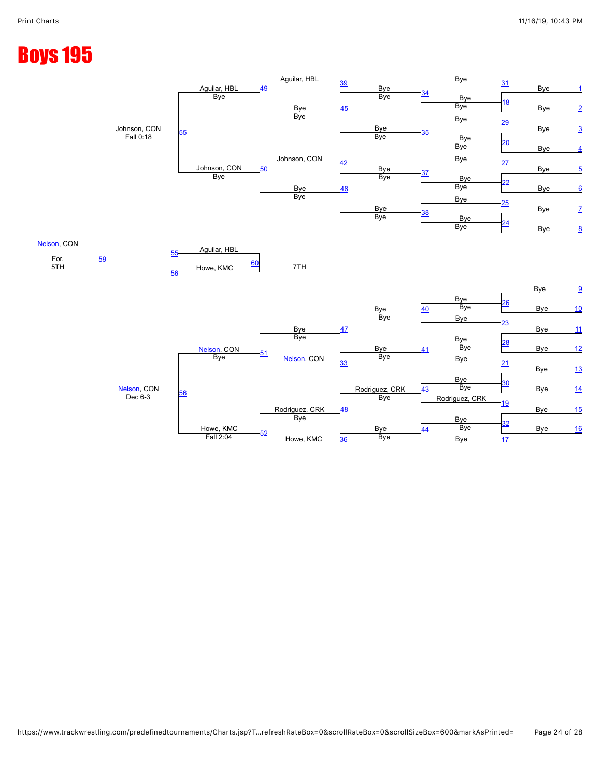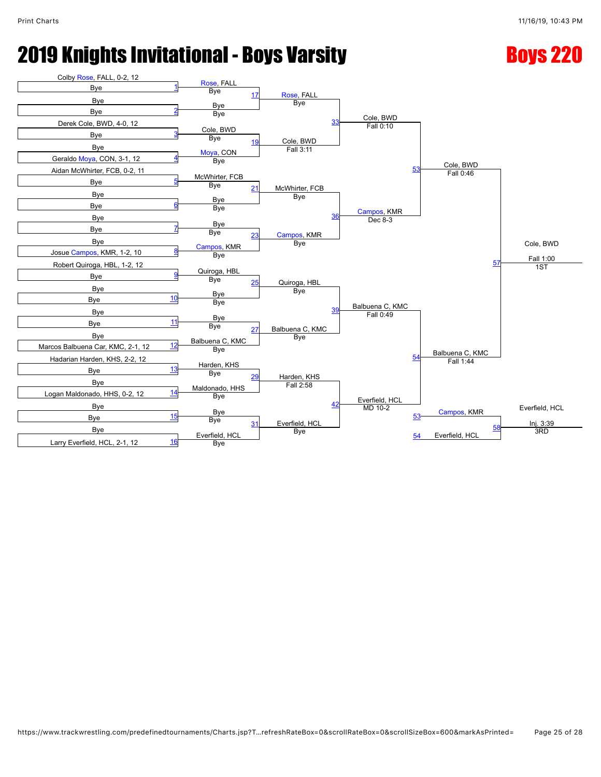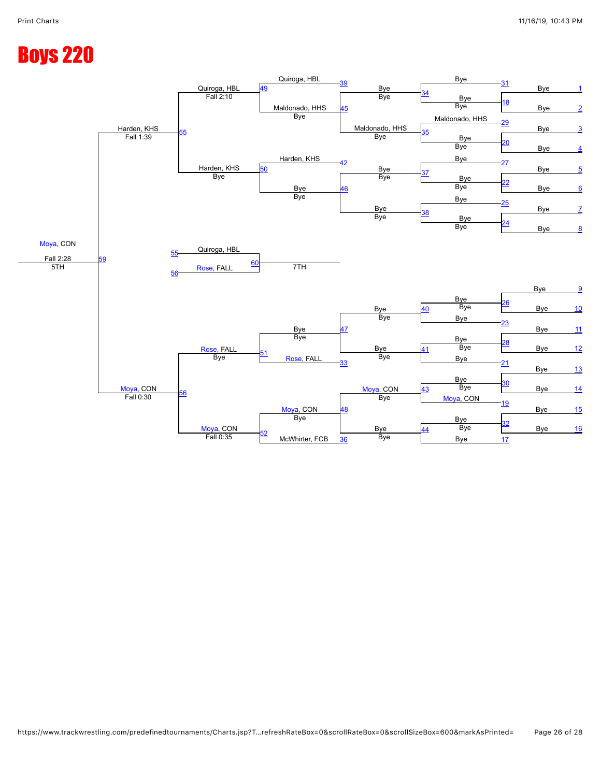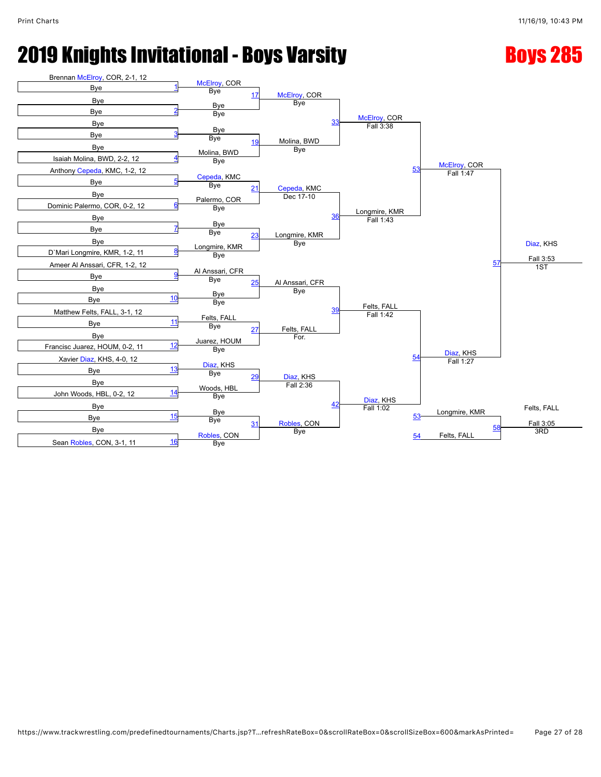